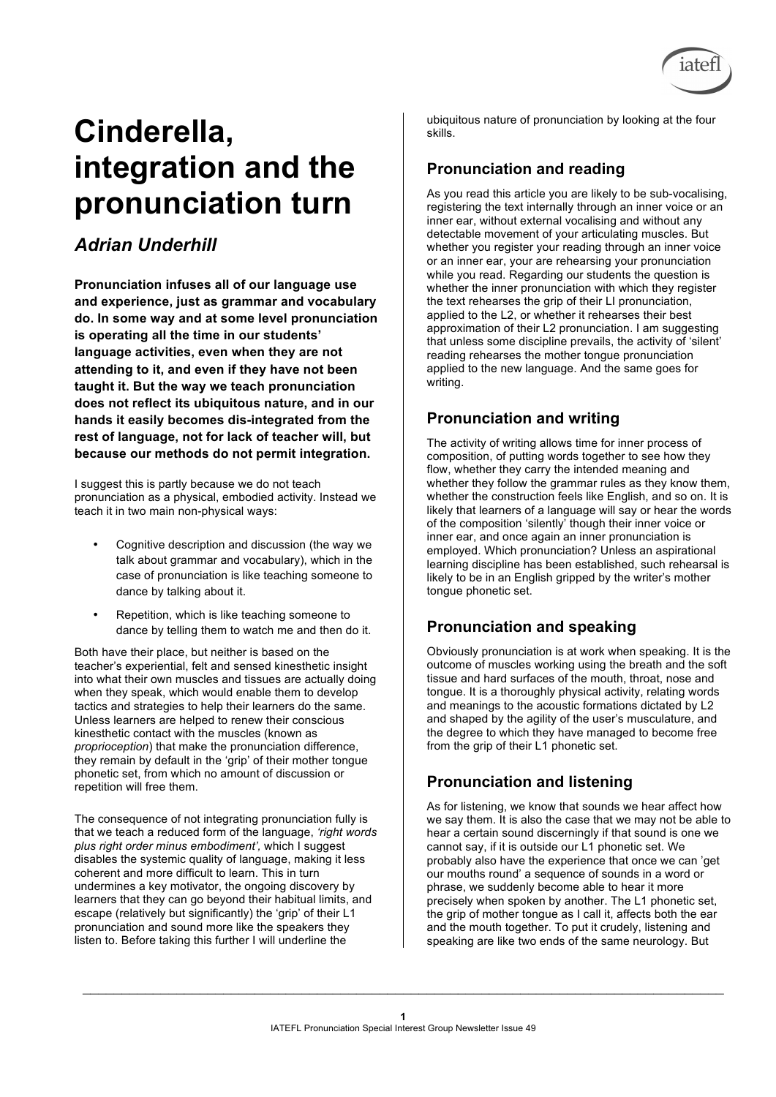

 $\_$  , and the contribution of the contribution of the contribution of the contribution of  $\mathcal{L}_\text{max}$ 



# **Cinderella, integration and the pronunciation turn**

## *Adrian Underhill*

**Pronunciation infuses all of our language use and experience, just as grammar and vocabulary do. In some way and at some level pronunciation is operating all the time in our students' language activities, even when they are not attending to it, and even if they have not been taught it. But the way we teach pronunciation does not reflect its ubiquitous nature, and in our hands it easily becomes dis-integrated from the rest of language, not for lack of teacher will, but because our methods do not permit integration.** 

I suggest this is partly because we do not teach pronunciation as a physical, embodied activity. Instead we teach it in two main non-physical ways:

- Cognitive description and discussion (the way we talk about grammar and vocabulary), which in the case of pronunciation is like teaching someone to dance by talking about it.
- Repetition, which is like teaching someone to dance by telling them to watch me and then do it.

Both have their place, but neither is based on the teacher's experiential, felt and sensed kinesthetic insight into what their own muscles and tissues are actually doing when they speak, which would enable them to develop tactics and strategies to help their learners do the same. Unless learners are helped to renew their conscious kinesthetic contact with the muscles (known as *proprioception*) that make the pronunciation difference, they remain by default in the 'grip' of their mother tongue phonetic set, from which no amount of discussion or repetition will free them.

The consequence of not integrating pronunciation fully is that we teach a reduced form of the language, *'right words plus right order minus embodiment',* which I suggest disables the systemic quality of language, making it less coherent and more difficult to learn. This in turn undermines a key motivator, the ongoing discovery by learners that they can go beyond their habitual limits, and escape (relatively but significantly) the 'grip' of their L1 pronunciation and sound more like the speakers they listen to. Before taking this further I will underline the

ubiquitous nature of pronunciation by looking at the four skills.

## **Pronunciation and reading**

As you read this article you are likely to be sub-vocalising, registering the text internally through an inner voice or an inner ear, without external vocalising and without any detectable movement of your articulating muscles. But whether you register your reading through an inner voice or an inner ear, your are rehearsing your pronunciation while you read. Regarding our students the question is whether the inner pronunciation with which they register the text rehearses the grip of their LI pronunciation, applied to the L2, or whether it rehearses their best approximation of their L2 pronunciation. I am suggesting that unless some discipline prevails, the activity of 'silent' reading rehearses the mother tongue pronunciation applied to the new language. And the same goes for writing.

### **Pronunciation and writing**

The activity of writing allows time for inner process of composition, of putting words together to see how they flow, whether they carry the intended meaning and whether they follow the grammar rules as they know them, whether the construction feels like English, and so on. It is likely that learners of a language will say or hear the words of the composition 'silently' though their inner voice or inner ear, and once again an inner pronunciation is employed. Which pronunciation? Unless an aspirational learning discipline has been established, such rehearsal is likely to be in an English gripped by the writer's mother tongue phonetic set.

## **Pronunciation and speaking**

Obviously pronunciation is at work when speaking. It is the outcome of muscles working using the breath and the soft tissue and hard surfaces of the mouth, throat, nose and tongue. It is a thoroughly physical activity, relating words and meanings to the acoustic formations dictated by L2 and shaped by the agility of the user's musculature, and the degree to which they have managed to become free from the grip of their L1 phonetic set.

### **Pronunciation and listening**

As for listening, we know that sounds we hear affect how we say them. It is also the case that we may not be able to hear a certain sound discerningly if that sound is one we cannot say, if it is outside our L1 phonetic set. We probably also have the experience that once we can 'get our mouths round' a sequence of sounds in a word or phrase, we suddenly become able to hear it more precisely when spoken by another. The L1 phonetic set, the grip of mother tongue as I call it, affects both the ear and the mouth together. To put it crudely, listening and speaking are like two ends of the same neurology. But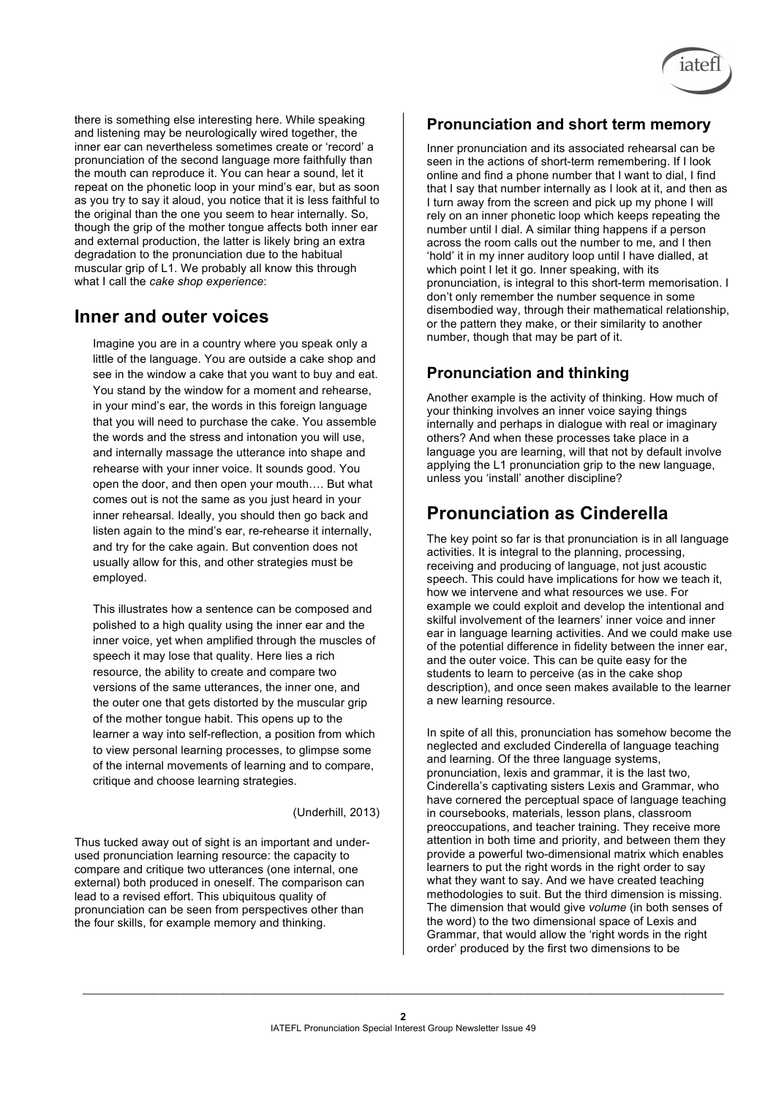

### **Inner and outer voices**

Imagine you are in a country where you speak only a little of the language. You are outside a cake shop and see in the window a cake that you want to buy and eat. You stand by the window for a moment and rehearse, in your mind's ear, the words in this foreign language that you will need to purchase the cake. You assemble the words and the stress and intonation you will use, and internally massage the utterance into shape and rehearse with your inner voice. It sounds good. You open the door, and then open your mouth…. But what comes out is not the same as you just heard in your inner rehearsal. Ideally, you should then go back and listen again to the mind's ear, re-rehearse it internally, and try for the cake again. But convention does not usually allow for this, and other strategies must be employed.

This illustrates how a sentence can be composed and polished to a high quality using the inner ear and the inner voice, yet when amplified through the muscles of speech it may lose that quality. Here lies a rich resource, the ability to create and compare two versions of the same utterances, the inner one, and the outer one that gets distorted by the muscular grip of the mother tongue habit. This opens up to the learner a way into self-reflection, a position from which to view personal learning processes, to glimpse some of the internal movements of learning and to compare, critique and choose learning strategies.

#### (Underhill, 2013)

Thus tucked away out of sight is an important and underused pronunciation learning resource: the capacity to compare and critique two utterances (one internal, one external) both produced in oneself. The comparison can lead to a revised effort. This ubiquitous quality of pronunciation can be seen from perspectives other than the four skills, for example memory and thinking.

#### **Pronunciation and short term memory**

Inner pronunciation and its associated rehearsal can be seen in the actions of short-term remembering. If I look online and find a phone number that I want to dial, I find that I say that number internally as I look at it, and then as I turn away from the screen and pick up my phone I will rely on an inner phonetic loop which keeps repeating the number until I dial. A similar thing happens if a person across the room calls out the number to me, and I then 'hold' it in my inner auditory loop until I have dialled, at which point I let it go. Inner speaking, with its pronunciation, is integral to this short-term memorisation. I don't only remember the number sequence in some disembodied way, through their mathematical relationship, or the pattern they make, or their similarity to another number, though that may be part of it.

#### **Pronunciation and thinking**

Another example is the activity of thinking. How much of your thinking involves an inner voice saying things internally and perhaps in dialogue with real or imaginary others? And when these processes take place in a language you are learning, will that not by default involve applying the L1 pronunciation grip to the new language, unless you 'install' another discipline?

## **Pronunciation as Cinderella**

The key point so far is that pronunciation is in all language activities. It is integral to the planning, processing, receiving and producing of language, not just acoustic speech. This could have implications for how we teach it, how we intervene and what resources we use. For example we could exploit and develop the intentional and skilful involvement of the learners' inner voice and inner ear in language learning activities. And we could make use of the potential difference in fidelity between the inner ear, and the outer voice. This can be quite easy for the students to learn to perceive (as in the cake shop description), and once seen makes available to the learner a new learning resource.

In spite of all this, pronunciation has somehow become the neglected and excluded Cinderella of language teaching and learning. Of the three language systems, pronunciation, lexis and grammar, it is the last two, Cinderella's captivating sisters Lexis and Grammar, who have cornered the perceptual space of language teaching in coursebooks, materials, lesson plans, classroom preoccupations, and teacher training. They receive more attention in both time and priority, and between them they provide a powerful two-dimensional matrix which enables learners to put the right words in the right order to say what they want to say. And we have created teaching methodologies to suit. But the third dimension is missing. The dimension that would give *volume* (in both senses of the word) to the two dimensional space of Lexis and Grammar, that would allow the 'right words in the right order' produced by the first two dimensions to be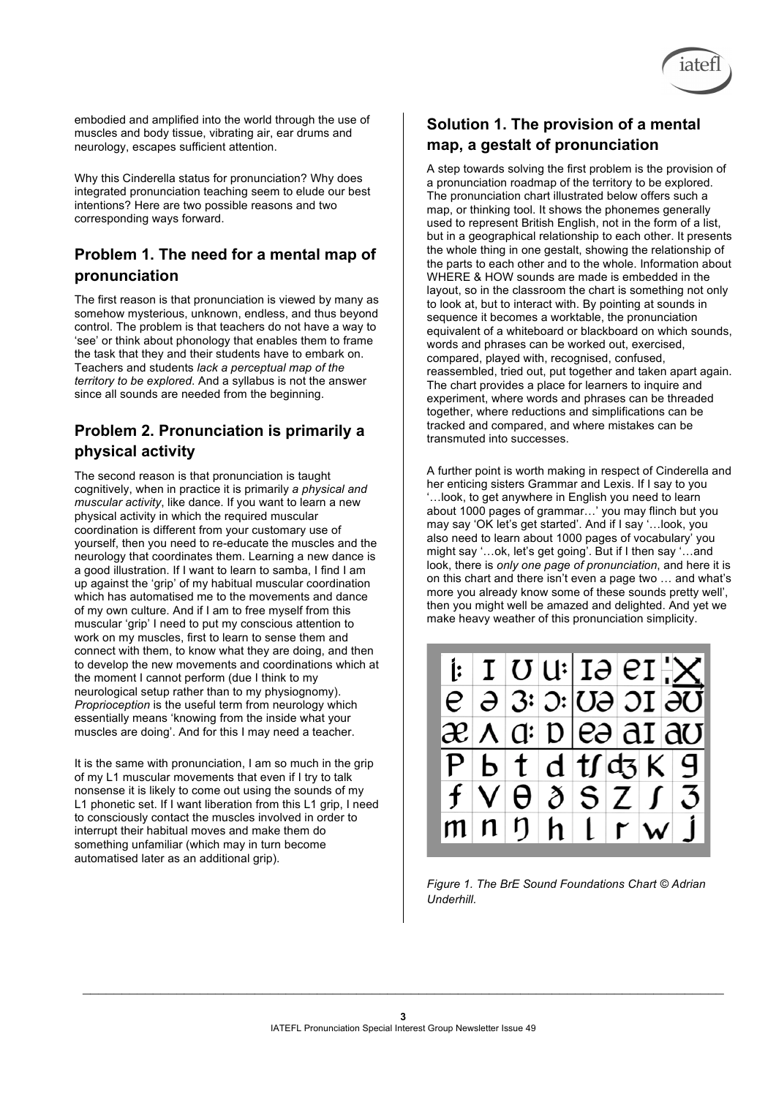

embodied and amplified into the world through the use of muscles and body tissue, vibrating air, ear drums and neurology, escapes sufficient attention.

Why this Cinderella status for pronunciation? Why does integrated pronunciation teaching seem to elude our best intentions? Here are two possible reasons and two corresponding ways forward.

#### **Problem 1. The need for a mental map of pronunciation**

The first reason is that pronunciation is viewed by many as somehow mysterious, unknown, endless, and thus beyond control. The problem is that teachers do not have a way to 'see' or think about phonology that enables them to frame the task that they and their students have to embark on. Teachers and students *lack a perceptual map of the territory to be explored*. And a syllabus is not the answer since all sounds are needed from the beginning.

#### **Problem 2. Pronunciation is primarily a physical activity**

The second reason is that pronunciation is taught cognitively, when in practice it is primarily *a physical and muscular activity*, like dance. If you want to learn a new physical activity in which the required muscular coordination is different from your customary use of yourself, then you need to re-educate the muscles and the neurology that coordinates them. Learning a new dance is a good illustration. If I want to learn to samba, I find I am up against the 'grip' of my habitual muscular coordination which has automatised me to the movements and dance of my own culture. And if I am to free myself from this muscular 'grip' I need to put my conscious attention to work on my muscles, first to learn to sense them and connect with them, to know what they are doing, and then to develop the new movements and coordinations which at the moment I cannot perform (due I think to my neurological setup rather than to my physiognomy). *Proprioception* is the useful term from neurology which essentially means 'knowing from the inside what your muscles are doing'. And for this I may need a teacher.

It is the same with pronunciation, I am so much in the grip of my L1 muscular movements that even if I try to talk nonsense it is likely to come out using the sounds of my L1 phonetic set. If I want liberation from this L1 grip, I need to consciously contact the muscles involved in order to interrupt their habitual moves and make them do something unfamiliar (which may in turn become automatised later as an additional grip).

#### **Solution 1. The provision of a mental map, a gestalt of pronunciation**

A step towards solving the first problem is the provision of a pronunciation roadmap of the territory to be explored. The pronunciation chart illustrated below offers such a map, or thinking tool. It shows the phonemes generally used to represent British English, not in the form of a list, but in a geographical relationship to each other. It presents the whole thing in one gestalt, showing the relationship of the parts to each other and to the whole. Information about WHERE & HOW sounds are made is embedded in the layout, so in the classroom the chart is something not only to look at, but to interact with. By pointing at sounds in sequence it becomes a worktable, the pronunciation equivalent of a whiteboard or blackboard on which sounds, words and phrases can be worked out, exercised, compared, played with, recognised, confused, reassembled, tried out, put together and taken apart again. The chart provides a place for learners to inquire and experiment, where words and phrases can be threaded together, where reductions and simplifications can be tracked and compared, and where mistakes can be transmuted into successes.

A further point is worth making in respect of Cinderella and her enticing sisters Grammar and Lexis. If I say to you '…look, to get anywhere in English you need to learn about 1000 pages of grammar…' you may flinch but you may say 'OK let's get started'. And if I say '…look, you also need to learn about 1000 pages of vocabulary' you might say '…ok, let's get going'. But if I then say '…and look, there is *only one page of pronunciation*, and here it is on this chart and there isn't even a page two … and what's more you already know some of these sounds pretty well', then you might well be amazed and delighted. And yet we make heavy weather of this pronunciation simplicity.



*Figure 1. The BrE Sound Foundations Chart © Adrian Underhill.*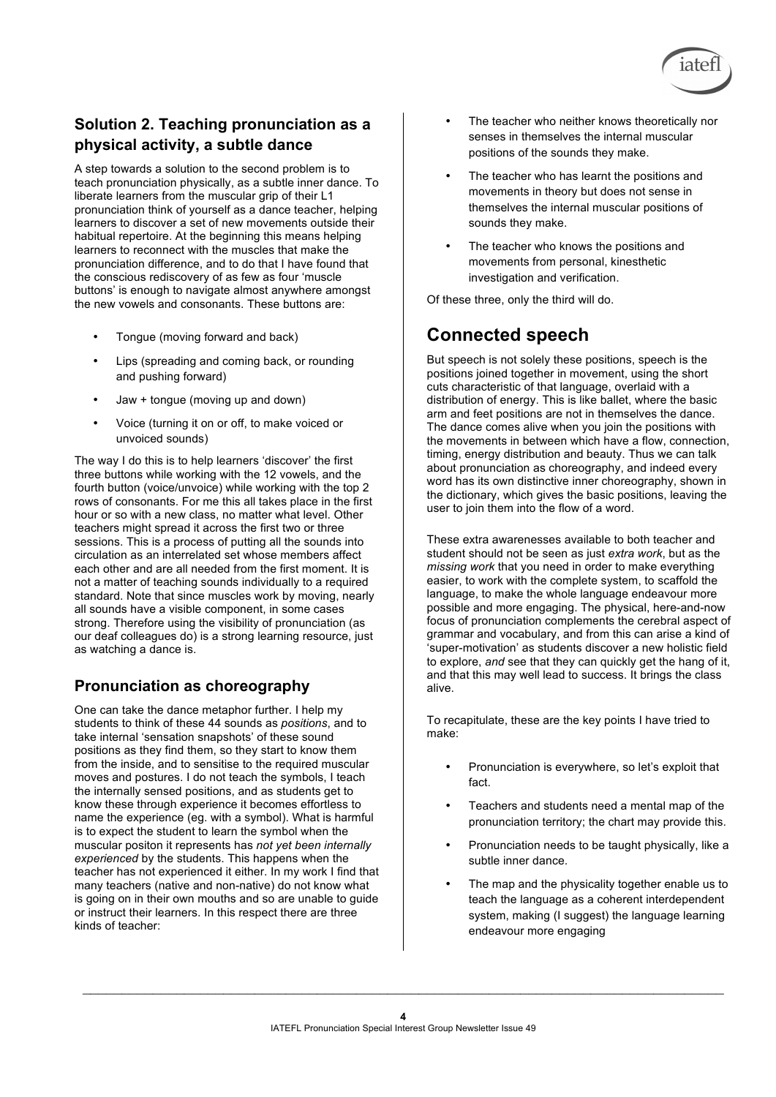

## **Solution 2. Teaching pronunciation as a physical activity, a subtle dance**

A step towards a solution to the second problem is to teach pronunciation physically, as a subtle inner dance. To liberate learners from the muscular grip of their L1 pronunciation think of yourself as a dance teacher, helping learners to discover a set of new movements outside their habitual repertoire. At the beginning this means helping learners to reconnect with the muscles that make the pronunciation difference, and to do that I have found that the conscious rediscovery of as few as four 'muscle buttons' is enough to navigate almost anywhere amongst the new vowels and consonants. These buttons are:

- Tongue (moving forward and back)
- Lips (spreading and coming back, or rounding and pushing forward)
- Jaw + tongue (moving up and down)
- Voice (turning it on or off, to make voiced or unvoiced sounds)

The way I do this is to help learners 'discover' the first three buttons while working with the 12 vowels, and the fourth button (voice/unvoice) while working with the top 2 rows of consonants. For me this all takes place in the first hour or so with a new class, no matter what level. Other teachers might spread it across the first two or three sessions. This is a process of putting all the sounds into circulation as an interrelated set whose members affect each other and are all needed from the first moment. It is not a matter of teaching sounds individually to a required standard. Note that since muscles work by moving, nearly all sounds have a visible component, in some cases strong. Therefore using the visibility of pronunciation (as our deaf colleagues do) is a strong learning resource, just as watching a dance is.

#### **Pronunciation as choreography**

One can take the dance metaphor further. I help my students to think of these 44 sounds as *positions*, and to take internal 'sensation snapshots' of these sound positions as they find them, so they start to know them from the inside, and to sensitise to the required muscular moves and postures. I do not teach the symbols, I teach the internally sensed positions, and as students get to know these through experience it becomes effortless to name the experience (eg. with a symbol). What is harmful is to expect the student to learn the symbol when the muscular positon it represents has *not yet been internally experienced* by the students. This happens when the teacher has not experienced it either. In my work I find that many teachers (native and non-native) do not know what is going on in their own mouths and so are unable to guide or instruct their learners. In this respect there are three kinds of teacher:

- The teacher who neither knows theoretically nor senses in themselves the internal muscular positions of the sounds they make.
- The teacher who has learnt the positions and movements in theory but does not sense in themselves the internal muscular positions of sounds they make.
- The teacher who knows the positions and movements from personal, kinesthetic investigation and verification.

Of these three, only the third will do.

## **Connected speech**

But speech is not solely these positions, speech is the positions joined together in movement, using the short cuts characteristic of that language, overlaid with a distribution of energy. This is like ballet, where the basic arm and feet positions are not in themselves the dance. The dance comes alive when you join the positions with the movements in between which have a flow, connection, timing, energy distribution and beauty. Thus we can talk about pronunciation as choreography, and indeed every word has its own distinctive inner choreography, shown in the dictionary, which gives the basic positions, leaving the user to join them into the flow of a word.

These extra awarenesses available to both teacher and student should not be seen as just *extra work*, but as the *missing work* that you need in order to make everything easier, to work with the complete system, to scaffold the language, to make the whole language endeavour more possible and more engaging. The physical, here-and-now focus of pronunciation complements the cerebral aspect of grammar and vocabulary, and from this can arise a kind of 'super-motivation' as students discover a new holistic field to explore, *and* see that they can quickly get the hang of it, and that this may well lead to success. It brings the class alive.

To recapitulate, these are the key points I have tried to make:

- Pronunciation is everywhere, so let's exploit that fact.
- Teachers and students need a mental map of the pronunciation territory; the chart may provide this.
- Pronunciation needs to be taught physically, like a subtle inner dance.
- The map and the physicality together enable us to teach the language as a coherent interdependent system, making (I suggest) the language learning endeavour more engaging